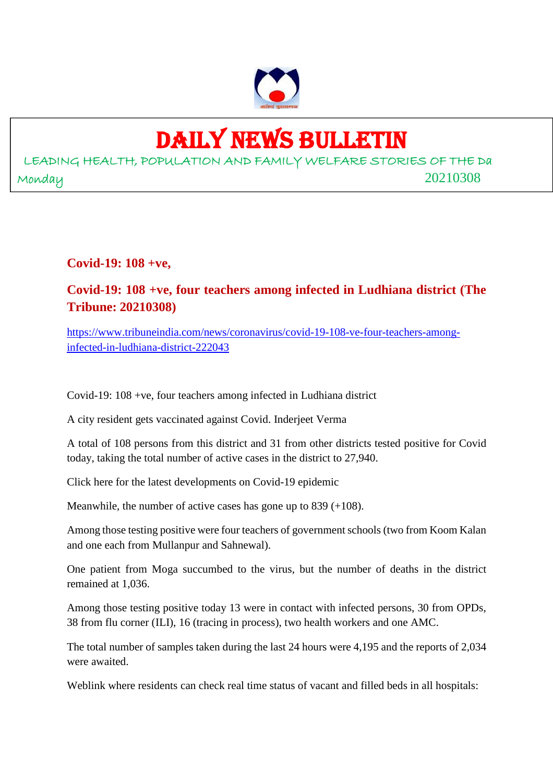

## DAILY NEWS BULLETIN

LEADING HEALTH, POPULATION AND FAMILY WELFARE STORIES OF THE Da Monday 20210308

**Covid-19: 108 +ve,**

### **Covid-19: 108 +ve, four teachers among infected in Ludhiana district (The Tribune: 20210308)**

https://www.tribuneindia.com/news/coronavirus/covid-19-108-ve-four-teachers-amonginfected-in-ludhiana-district-222043

Covid-19: 108 +ve, four teachers among infected in Ludhiana district

A city resident gets vaccinated against Covid. Inderjeet Verma

A total of 108 persons from this district and 31 from other districts tested positive for Covid today, taking the total number of active cases in the district to 27,940.

Click here for the latest developments on Covid-19 epidemic

Meanwhile, the number of active cases has gone up to 839 (+108).

Among those testing positive were four teachers of government schools (two from Koom Kalan and one each from Mullanpur and Sahnewal).

One patient from Moga succumbed to the virus, but the number of deaths in the district remained at 1,036.

Among those testing positive today 13 were in contact with infected persons, 30 from OPDs, 38 from flu corner (ILI), 16 (tracing in process), two health workers and one AMC.

The total number of samples taken during the last 24 hours were 4,195 and the reports of 2,034 were awaited.

Weblink where residents can check real time status of vacant and filled beds in all hospitals: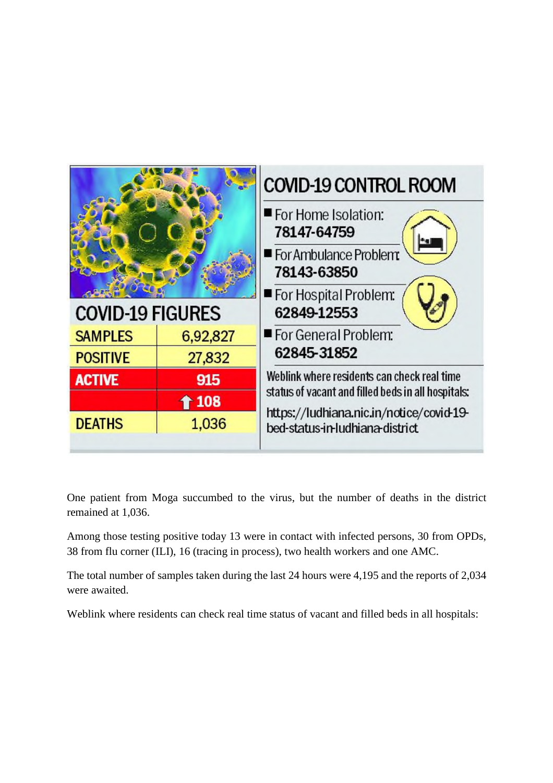

One patient from Moga succumbed to the virus, but the number of deaths in the district remained at 1,036.

Among those testing positive today 13 were in contact with infected persons, 30 from OPDs, 38 from flu corner (ILI), 16 (tracing in process), two health workers and one AMC.

The total number of samples taken during the last 24 hours were 4,195 and the reports of 2,034 were awaited.

Weblink where residents can check real time status of vacant and filled beds in all hospitals: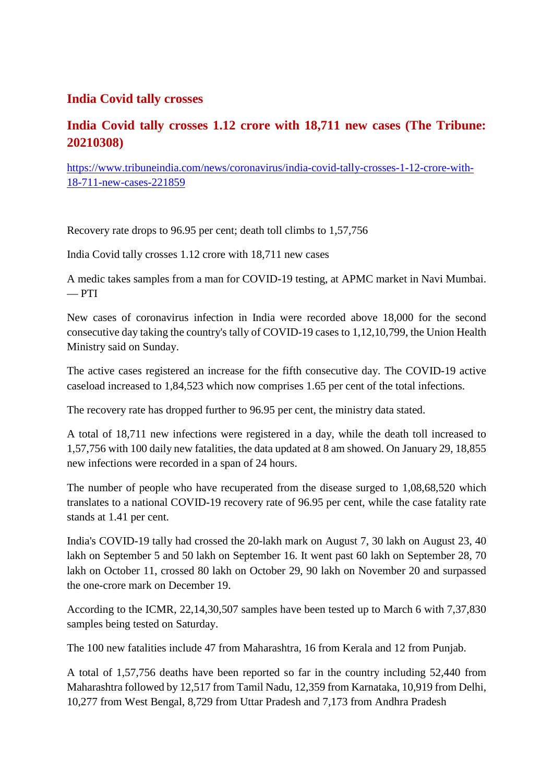### **India Covid tally crosses**

### **India Covid tally crosses 1.12 crore with 18,711 new cases (The Tribune: 20210308)**

https://www.tribuneindia.com/news/coronavirus/india-covid-tally-crosses-1-12-crore-with-18-711-new-cases-221859

Recovery rate drops to 96.95 per cent; death toll climbs to 1,57,756

India Covid tally crosses 1.12 crore with 18,711 new cases

A medic takes samples from a man for COVID-19 testing, at APMC market in Navi Mumbai.  $-$  PTI

New cases of coronavirus infection in India were recorded above 18,000 for the second consecutive day taking the country's tally of COVID-19 cases to 1,12,10,799, the Union Health Ministry said on Sunday.

The active cases registered an increase for the fifth consecutive day. The COVID-19 active caseload increased to 1,84,523 which now comprises 1.65 per cent of the total infections.

The recovery rate has dropped further to 96.95 per cent, the ministry data stated.

A total of 18,711 new infections were registered in a day, while the death toll increased to 1,57,756 with 100 daily new fatalities, the data updated at 8 am showed. On January 29, 18,855 new infections were recorded in a span of 24 hours.

The number of people who have recuperated from the disease surged to 1,08,68,520 which translates to a national COVID-19 recovery rate of 96.95 per cent, while the case fatality rate stands at 1.41 per cent.

India's COVID-19 tally had crossed the 20-lakh mark on August 7, 30 lakh on August 23, 40 lakh on September 5 and 50 lakh on September 16. It went past 60 lakh on September 28, 70 lakh on October 11, crossed 80 lakh on October 29, 90 lakh on November 20 and surpassed the one-crore mark on December 19.

According to the ICMR, 22,14,30,507 samples have been tested up to March 6 with 7,37,830 samples being tested on Saturday.

The 100 new fatalities include 47 from Maharashtra, 16 from Kerala and 12 from Punjab.

A total of 1,57,756 deaths have been reported so far in the country including 52,440 from Maharashtra followed by 12,517 from Tamil Nadu, 12,359 from Karnataka, 10,919 from Delhi, 10,277 from West Bengal, 8,729 from Uttar Pradesh and 7,173 from Andhra Pradesh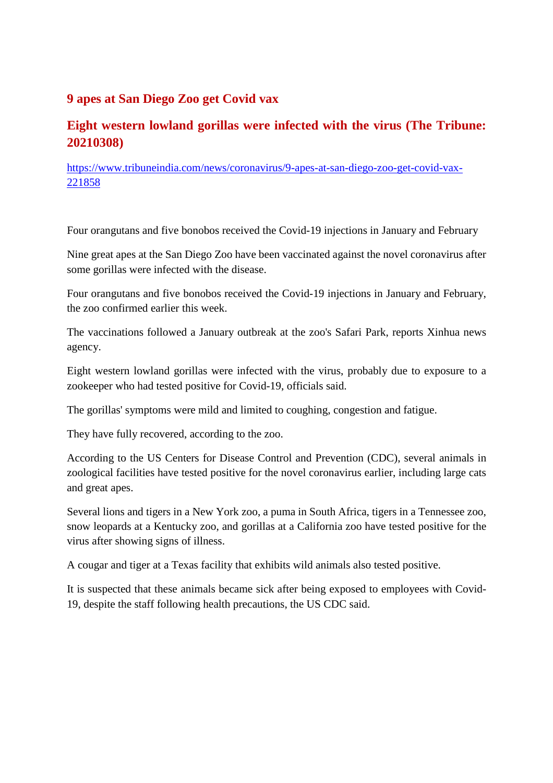### **9 apes at San Diego Zoo get Covid vax**

### **Eight western lowland gorillas were infected with the virus (The Tribune: 20210308)**

https://www.tribuneindia.com/news/coronavirus/9-apes-at-san-diego-zoo-get-covid-vax-221858

Four orangutans and five bonobos received the Covid-19 injections in January and February

Nine great apes at the San Diego Zoo have been vaccinated against the novel coronavirus after some gorillas were infected with the disease.

Four orangutans and five bonobos received the Covid-19 injections in January and February, the zoo confirmed earlier this week.

The vaccinations followed a January outbreak at the zoo's Safari Park, reports Xinhua news agency.

Eight western lowland gorillas were infected with the virus, probably due to exposure to a zookeeper who had tested positive for Covid-19, officials said.

The gorillas' symptoms were mild and limited to coughing, congestion and fatigue.

They have fully recovered, according to the zoo.

According to the US Centers for Disease Control and Prevention (CDC), several animals in zoological facilities have tested positive for the novel coronavirus earlier, including large cats and great apes.

Several lions and tigers in a New York zoo, a puma in South Africa, tigers in a Tennessee zoo, snow leopards at a Kentucky zoo, and gorillas at a California zoo have tested positive for the virus after showing signs of illness.

A cougar and tiger at a Texas facility that exhibits wild animals also tested positive.

It is suspected that these animals became sick after being exposed to employees with Covid-19, despite the staff following health precautions, the US CDC said.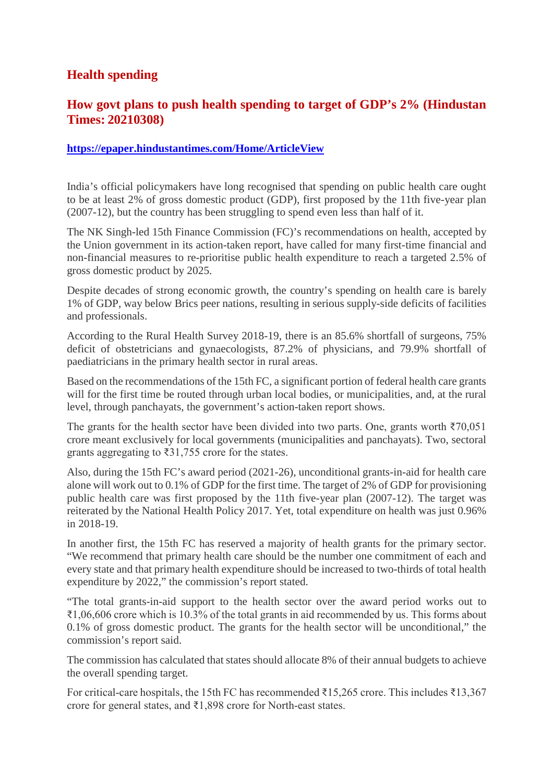### **Health spending**

### **How govt plans to push health spending to target of GDP's 2% (Hindustan Times: 20210308)**

### **https://epaper.hindustantimes.com/Home/ArticleView**

India's official policymakers have long recognised that spending on public health care ought to be at least 2% of gross domestic product (GDP), first proposed by the 11th five-year plan (2007-12), but the country has been struggling to spend even less than half of it.

The NK Singh-led 15th Finance Commission (FC)'s recommendations on health, accepted by the Union government in its action-taken report, have called for many first-time financial and non-financial measures to re-prioritise public health expenditure to reach a targeted 2.5% of gross domestic product by 2025.

Despite decades of strong economic growth, the country's spending on health care is barely 1% of GDP, way below Brics peer nations, resulting in serious supply-side deficits of facilities and professionals.

According to the Rural Health Survey 2018-19, there is an 85.6% shortfall of surgeons, 75% deficit of obstetricians and gynaecologists, 87.2% of physicians, and 79.9% shortfall of paediatricians in the primary health sector in rural areas.

Based on the recommendations of the 15th FC, a significant portion of federal health care grants will for the first time be routed through urban local bodies, or municipalities, and, at the rural level, through panchayats, the government's action-taken report shows.

The grants for the health sector have been divided into two parts. One, grants worth  $\overline{570,051}$ crore meant exclusively for local governments (municipalities and panchayats). Two, sectoral grants aggregating to ₹31,755 crore for the states.

Also, during the 15th FC's award period (2021-26), unconditional grants-in-aid for health care alone will work out to 0.1% of GDP for the first time. The target of 2% of GDP for provisioning public health care was first proposed by the 11th five-year plan (2007-12). The target was reiterated by the National Health Policy 2017. Yet, total expenditure on health was just 0.96% in 2018-19.

In another first, the 15th FC has reserved a majority of health grants for the primary sector. "We recommend that primary health care should be the number one commitment of each and every state and that primary health expenditure should be increased to two-thirds of total health expenditure by 2022," the commission's report stated.

"The total grants-in-aid support to the health sector over the award period works out to ₹1,06,606 crore which is 10.3% of the total grants in aid recommended by us. This forms about 0.1% of gross domestic product. The grants for the health sector will be unconditional," the commission's report said.

The commission has calculated that states should allocate 8% of their annual budgets to achieve the overall spending target.

For critical-care hospitals, the 15th FC has recommended ₹15,265 crore. This includes ₹13,367 crore for general states, and ₹1,898 crore for North-east states.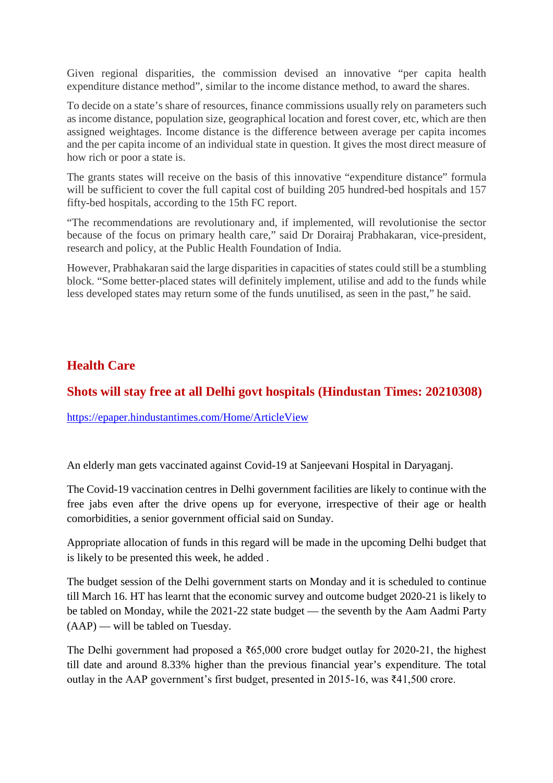Given regional disparities, the commission devised an innovative "per capita health expenditure distance method", similar to the income distance method, to award the shares.

To decide on a state's share of resources, finance commissions usually rely on parameters such as income distance, population size, geographical location and forest cover, etc, which are then assigned weightages. Income distance is the difference between average per capita incomes and the per capita income of an individual state in question. It gives the most direct measure of how rich or poor a state is.

The grants states will receive on the basis of this innovative "expenditure distance" formula will be sufficient to cover the full capital cost of building 205 hundred-bed hospitals and 157 fifty-bed hospitals, according to the 15th FC report.

"The recommendations are revolutionary and, if implemented, will revolutionise the sector because of the focus on primary health care," said Dr Dorairaj Prabhakaran, vice-president, research and policy, at the Public Health Foundation of India.

However, Prabhakaran said the large disparities in capacities of states could still be a stumbling block. "Some better-placed states will definitely implement, utilise and add to the funds while less developed states may return some of the funds unutilised, as seen in the past," he said.

### **Health Care**

### **Shots will stay free at all Delhi govt hospitals (Hindustan Times: 20210308)**

https://epaper.hindustantimes.com/Home/ArticleView

An elderly man gets vaccinated against Covid-19 at Sanjeevani Hospital in Daryaganj.

The Covid-19 vaccination centres in Delhi government facilities are likely to continue with the free jabs even after the drive opens up for everyone, irrespective of their age or health comorbidities, a senior government official said on Sunday.

Appropriate allocation of funds in this regard will be made in the upcoming Delhi budget that is likely to be presented this week, he added .

The budget session of the Delhi government starts on Monday and it is scheduled to continue till March 16. HT has learnt that the economic survey and outcome budget 2020-21 is likely to be tabled on Monday, while the 2021-22 state budget — the seventh by the Aam Aadmi Party (AAP) — will be tabled on Tuesday.

The Delhi government had proposed a  $\text{\textdegree}565,000$  crore budget outlay for 2020-21, the highest till date and around 8.33% higher than the previous financial year's expenditure. The total outlay in the AAP government's first budget, presented in 2015-16, was ₹41,500 crore.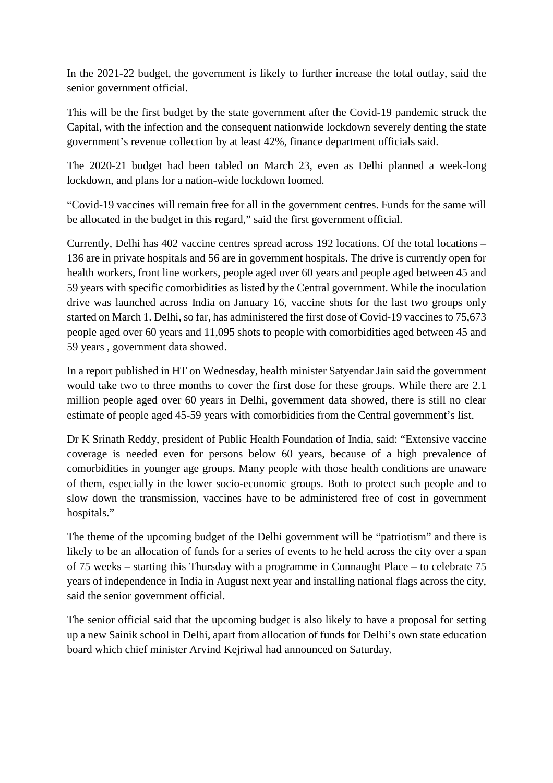In the 2021-22 budget, the government is likely to further increase the total outlay, said the senior government official.

This will be the first budget by the state government after the Covid-19 pandemic struck the Capital, with the infection and the consequent nationwide lockdown severely denting the state government's revenue collection by at least 42%, finance department officials said.

The 2020-21 budget had been tabled on March 23, even as Delhi planned a week-long lockdown, and plans for a nation-wide lockdown loomed.

"Covid-19 vaccines will remain free for all in the government centres. Funds for the same will be allocated in the budget in this regard," said the first government official.

Currently, Delhi has 402 vaccine centres spread across 192 locations. Of the total locations – 136 are in private hospitals and 56 are in government hospitals. The drive is currently open for health workers, front line workers, people aged over 60 years and people aged between 45 and 59 years with specific comorbidities as listed by the Central government. While the inoculation drive was launched across India on January 16, vaccine shots for the last two groups only started on March 1. Delhi, so far, has administered the first dose of Covid-19 vaccines to 75,673 people aged over 60 years and 11,095 shots to people with comorbidities aged between 45 and 59 years , government data showed.

In a report published in HT on Wednesday, health minister Satyendar Jain said the government would take two to three months to cover the first dose for these groups. While there are 2.1 million people aged over 60 years in Delhi, government data showed, there is still no clear estimate of people aged 45-59 years with comorbidities from the Central government's list.

Dr K Srinath Reddy, president of Public Health Foundation of India, said: "Extensive vaccine coverage is needed even for persons below 60 years, because of a high prevalence of comorbidities in younger age groups. Many people with those health conditions are unaware of them, especially in the lower socio-economic groups. Both to protect such people and to slow down the transmission, vaccines have to be administered free of cost in government hospitals."

The theme of the upcoming budget of the Delhi government will be "patriotism" and there is likely to be an allocation of funds for a series of events to he held across the city over a span of 75 weeks – starting this Thursday with a programme in Connaught Place – to celebrate 75 years of independence in India in August next year and installing national flags across the city, said the senior government official.

The senior official said that the upcoming budget is also likely to have a proposal for setting up a new Sainik school in Delhi, apart from allocation of funds for Delhi's own state education board which chief minister Arvind Kejriwal had announced on Saturday.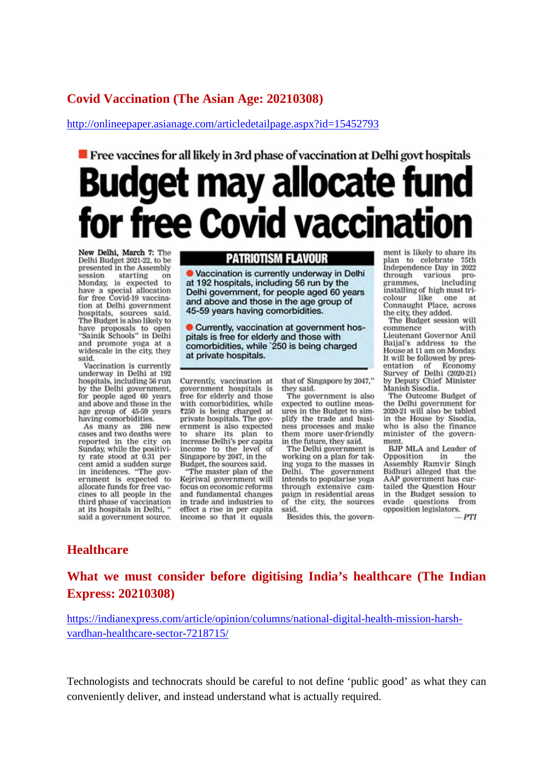### **Covid Vaccination (The Asian Age: 20210308)**

http://onlineepaper.asianage.com/articledetailpage.aspx?id=15452793

# **Figure 1** Free vaccines for all likely in 3rd phase of vaccination at Delhi govt hospitals Budget may allocate fund free Covid vaccinatio

New Delhi, March 7: The Delhi Budget 2021-22, to be presented in the Assembly session starting on<br>Monday, is expected to<br>have a special allocation<br>for free Covid-19 vaccination at Delhi government hospitals, sources said. The Budget is also likely to have proposals to open<br>"Sainik Schools" in Delhi and promote yoga at a widescale in the city, they said.

Vaccination is currently underway in Delhi at 192 hospitals, including 56 run by the Delhi government, for people aged 60 years and above and those in the age group of 45-59 years having comorbidities.

286 new As many as cases and two deaths were reported in the city on Sunday, while the positivity rate stood at 0.31 per cent amid a sudden surge in incidences. "The government is expected to allocate funds for free vaccines to all people in the third phase of vaccination at its hospitals in Delhi, " said a government source.

### **PATRIOTISM FLAVOUR**

· Vaccination is currently underway in Delhi at 192 hospitals, including 56 run by the Delhi government, for people aged 60 years and above and those in the age group of 45-59 years having comorbidities.

Currently, vaccination at government hospitals is free for elderly and those with comorbidities, while '250 is being charged at private hospitals.

Currently, vaccination at government hospitals is free for elderly and those with comorbidities, while ₹250 is being charged at private hospitals. The government is also expected its plan to to share increase Delhi's per capita<br>income to the level of<br>Singapore by 2047, in the Budget, the sources said.

"The master plan of the Keiriwal government will focus on economic reforms and fundamental changes in trade and industries to effect a rise in per capita income so that it equals

that of Singapore by 2047," they said.

The government is also expected to outline measures in the Budget to simplify the trade and business processes and make them more user-friendly in the future, they said.

The Delhi government is working on a plan for taking yoga to the masses in Delhi. The government<br>intends to popularise yoga through extensive cam-<br>paign in residential areas paign in residential areas<br>of the city, the sources<br>said.

Besides this, the govern-

ment is likely to share its plan to celebrate 75th<br>Independence Day in 2022 ous pro-<br>including through various grammes. installing of high mast tricolour like one at Connaught Place, across the city, they added.

The Budget session will commence with Lieutenant Governor Anil Baijal's address to the House at 11 am on Monday. It will be followed by presentation of Economy<br>Survey of Delhi (2020-21) by Deputy Chief Minister Manish Sisodia.

The Outcome Budget of the Delhi government for<br>2020-21 will also be tabled Everet will also be tabled<br>in the House by Sisodia,<br>who is also the finance<br>minister of the government.

BJP MLA and Leader of Opposition in the<br>Assembly Ramvir Singh<br>Bidhuri alleged that the AAP government has curtailed the Question Hour tailed the Question Hour<br>in the Budget session to<br>evade questions from from opposition legislators.

**PTI** 

### **Healthcare**

**What we must consider before digitising India's healthcare (The Indian Express: 20210308)**

https://indianexpress.com/article/opinion/columns/national-digital-health-mission-harshvardhan-healthcare-sector-7218715/

Technologists and technocrats should be careful to not define 'public good' as what they can conveniently deliver, and instead understand what is actually required.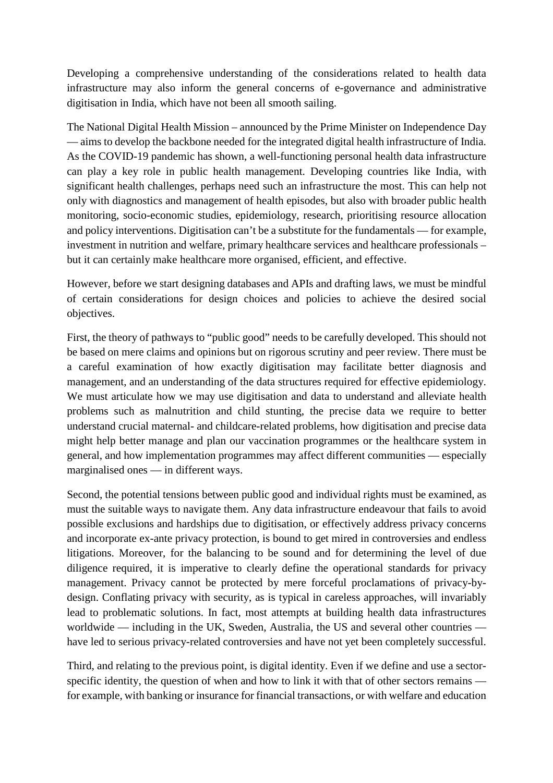Developing a comprehensive understanding of the considerations related to health data infrastructure may also inform the general concerns of e-governance and administrative digitisation in India, which have not been all smooth sailing.

The National Digital Health Mission – announced by the Prime Minister on Independence Day — aims to develop the backbone needed for the integrated digital health infrastructure of India. As the COVID-19 pandemic has shown, a well-functioning personal health data infrastructure can play a key role in public health management. Developing countries like India, with significant health challenges, perhaps need such an infrastructure the most. This can help not only with diagnostics and management of health episodes, but also with broader public health monitoring, socio-economic studies, epidemiology, research, prioritising resource allocation and policy interventions. Digitisation can't be a substitute for the fundamentals — for example, investment in nutrition and welfare, primary healthcare services and healthcare professionals – but it can certainly make healthcare more organised, efficient, and effective.

However, before we start designing databases and APIs and drafting laws, we must be mindful of certain considerations for design choices and policies to achieve the desired social objectives.

First, the theory of pathways to "public good" needs to be carefully developed. This should not be based on mere claims and opinions but on rigorous scrutiny and peer review. There must be a careful examination of how exactly digitisation may facilitate better diagnosis and management, and an understanding of the data structures required for effective epidemiology. We must articulate how we may use digitisation and data to understand and alleviate health problems such as malnutrition and child stunting, the precise data we require to better understand crucial maternal- and childcare-related problems, how digitisation and precise data might help better manage and plan our vaccination programmes or the healthcare system in general, and how implementation programmes may affect different communities — especially marginalised ones — in different ways.

Second, the potential tensions between public good and individual rights must be examined, as must the suitable ways to navigate them. Any data infrastructure endeavour that fails to avoid possible exclusions and hardships due to digitisation, or effectively address privacy concerns and incorporate ex-ante privacy protection, is bound to get mired in controversies and endless litigations. Moreover, for the balancing to be sound and for determining the level of due diligence required, it is imperative to clearly define the operational standards for privacy management. Privacy cannot be protected by mere forceful proclamations of privacy-bydesign. Conflating privacy with security, as is typical in careless approaches, will invariably lead to problematic solutions. In fact, most attempts at building health data infrastructures worldwide — including in the UK, Sweden, Australia, the US and several other countries have led to serious privacy-related controversies and have not yet been completely successful.

Third, and relating to the previous point, is digital identity. Even if we define and use a sectorspecific identity, the question of when and how to link it with that of other sectors remains for example, with banking or insurance for financial transactions, or with welfare and education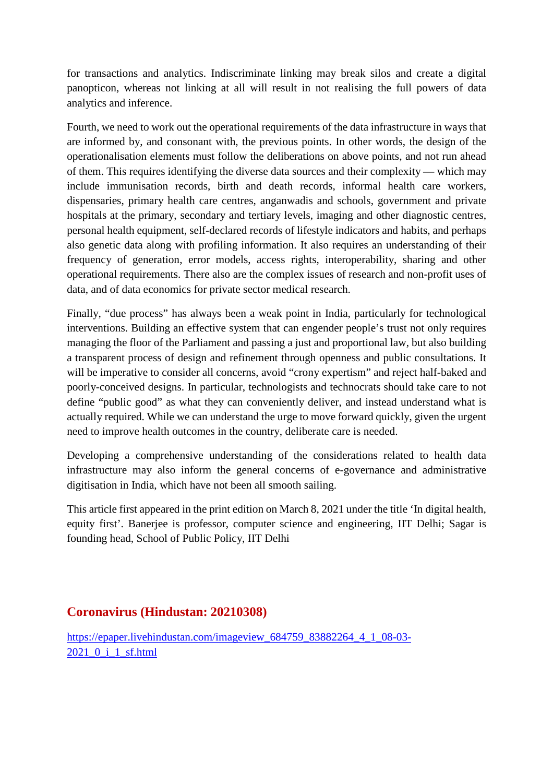for transactions and analytics. Indiscriminate linking may break silos and create a digital panopticon, whereas not linking at all will result in not realising the full powers of data analytics and inference.

Fourth, we need to work out the operational requirements of the data infrastructure in ways that are informed by, and consonant with, the previous points. In other words, the design of the operationalisation elements must follow the deliberations on above points, and not run ahead of them. This requires identifying the diverse data sources and their complexity — which may include immunisation records, birth and death records, informal health care workers, dispensaries, primary health care centres, anganwadis and schools, government and private hospitals at the primary, secondary and tertiary levels, imaging and other diagnostic centres, personal health equipment, self-declared records of lifestyle indicators and habits, and perhaps also genetic data along with profiling information. It also requires an understanding of their frequency of generation, error models, access rights, interoperability, sharing and other operational requirements. There also are the complex issues of research and non-profit uses of data, and of data economics for private sector medical research.

Finally, "due process" has always been a weak point in India, particularly for technological interventions. Building an effective system that can engender people's trust not only requires managing the floor of the Parliament and passing a just and proportional law, but also building a transparent process of design and refinement through openness and public consultations. It will be imperative to consider all concerns, avoid "crony expertism" and reject half-baked and poorly-conceived designs. In particular, technologists and technocrats should take care to not define "public good" as what they can conveniently deliver, and instead understand what is actually required. While we can understand the urge to move forward quickly, given the urgent need to improve health outcomes in the country, deliberate care is needed.

Developing a comprehensive understanding of the considerations related to health data infrastructure may also inform the general concerns of e-governance and administrative digitisation in India, which have not been all smooth sailing.

This article first appeared in the print edition on March 8, 2021 under the title 'In digital health, equity first'. Banerjee is professor, computer science and engineering, IIT Delhi; Sagar is founding head, School of Public Policy, IIT Delhi

### **Coronavirus (Hindustan: 20210308)**

https://epaper.livehindustan.com/imageview\_684759\_83882264\_4\_1\_08-03-2021\_0\_i\_1\_sf.html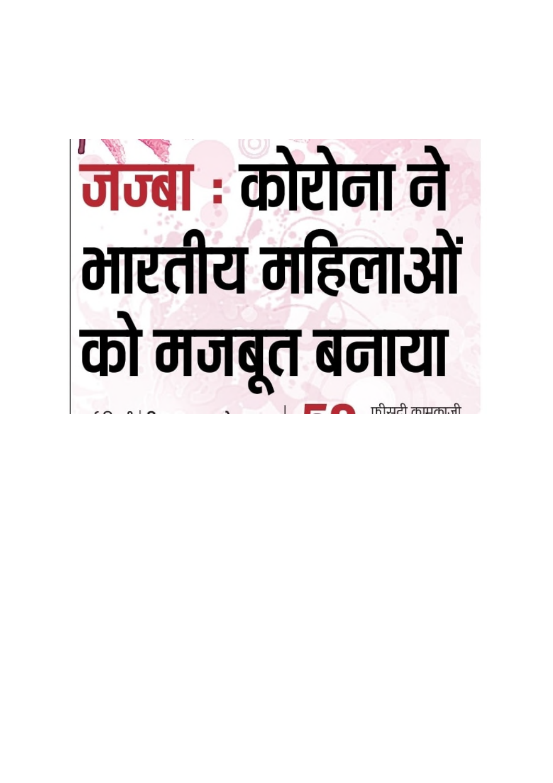# <mark>जन्बा : कोरोना ने</mark><br>भारतीय महिलाओं को मजबुत बनाया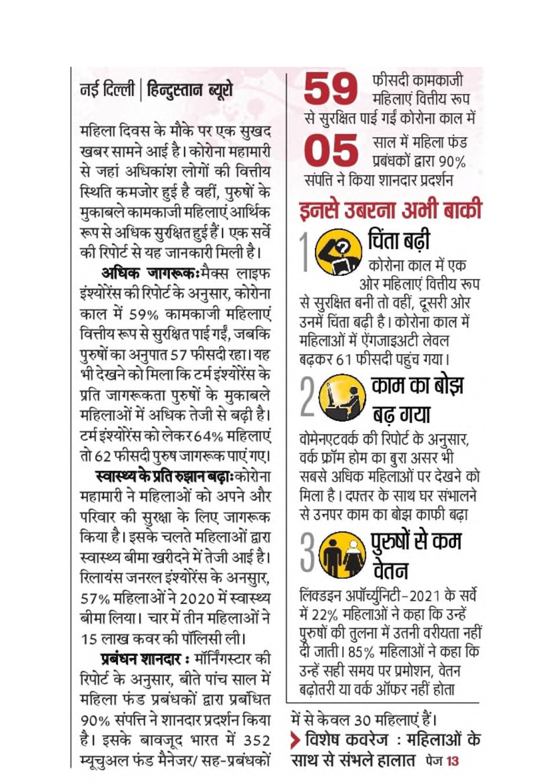## नई दिल्ली | हिन्दुस्तान ब्यूरो

महिला दिवस के मौके पर एक सुखद खबर सामने आई है। कोरोना महामारी से जहां अधिकांश लोगों की वित्तीय स्थिति कमजोर हुई है वहीं, पुरुषों के मुकाबले कामकाजी महिलाएं आर्थिक रूप से अधिक सुरक्षित हुई हैं। एक सर्वे की रिपोर्ट से यह जानकारी मिली है।

अधिक जागरूक:मैक्स लाइफ इंश्योरेंस की रिपोर्ट के अनुसार, कोरोना काल में 59% कामकाजी महिलाएं वित्तीय रूप से सुरक्षित पाई गईं, जबकि पुरुषों का अनुपात 57 फीसदी रहा। यह भी देखने को मिला कि टर्म इंश्योरेंस के प्रति जागरूकता पुरुषों के मुकाबले महिलाओं में अधिक तेजी से बढ़ी है। टर्म इंश्योरेंस को लेकर 64% महिलाएं तो 62 फीसदी पुरुष जागरूक पाएं गए।

**स्वास्थ्य के प्रति रुझान बढ़ाः** कोरोना महामारी ने महिलाओं को अपने और परिवार की सुरक्षा के लिए जागरूक किया है। इसके चलते महिलाओं द्वारा स्वास्थ्य बीमा खरीदने में तेजी आई है। रिलायंस जनरल इंश्योरेंस के अनसार, 57% महिलाओं ने 2020 में स्वास्थ्य बीमा लिया। चार में तीन महिलाओं ने

15 लाख कवर की पॉलिसी ली।

प्रबंधन शानदार: मॉर्निंगस्टार की रिपोर्ट के अनुसार, बीते पांच साल में महिला फंड प्रबंधकों द्वारा प्रबंधित 90% संपत्ति ने शानदार प्रदर्शन किया है। इसके बावजूद भारत में 352 म्यूचुअल फंड मैनेजर/ सह-प्रबंधकों

महिलाएं वित्तीय रूप से सुरक्षित पाई गईं कोरोना काल में साल में महिला फंड प्रबंधकों द्वारा 90% संपत्ति ने किया शानदार प्रदर्शन इनसे उबरना अभी बाकी चिता बढ़ी कोरोना काल में एक ओर महिलाएं वित्तीय रूप से सुरक्षित बनी तो वहीं, दूसरी ओर उनमें चिंता बढी है । कोरोना काल में महिलाओं में ऐंगजाइअटी लेवल

फीसदी कामकाजी



वोमेनएटवर्क की रिपोर्ट के अनुसार, वर्क फ्रॉम होम का बुरा असर भी सबसे अधिक महिलाओं पर देखने को मिला है। दफ्तर के साथ घर संभालने से उनपर काम का बोझ काफी बढ़ा



लिंक्डइन अपॉर्च्युनिटी–2021 के सर्वे में 22% महिलाओं ने कहा कि उन्हें पुरुषों की तुलना में उतनी वरीयता नहीं दी जाती। 85% महिलाओं ने कहा कि उन्हें सही समय पर प्रमोशन, वेतन बढोतरी या वर्क ऑफर नहीं होता

में से केवल 30 महिलाएं हैं। ▶ विशेष कवरेज : महिलाओं के साथ से संभले हालात पेज 13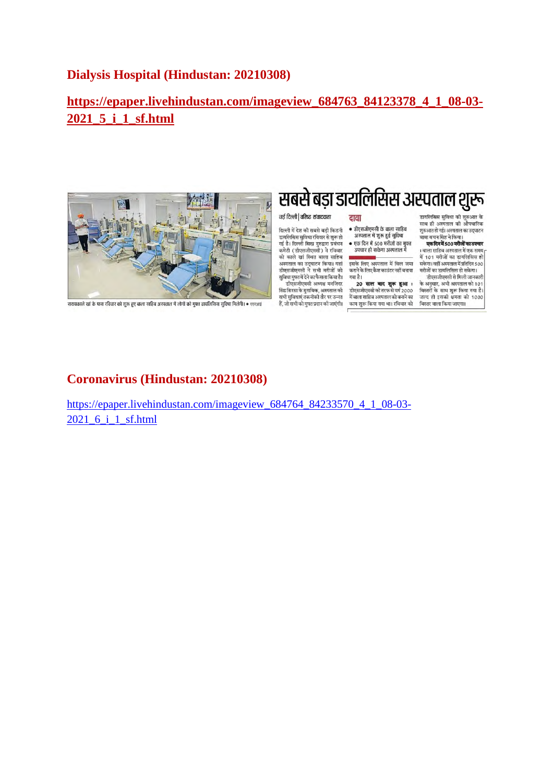### **Dialysis Hospital (Hindustan: 20210308)**

### **https://epaper.livehindustan.com/imageview\_684763\_84123378\_4\_1\_08-03- 2021\_5\_i\_1\_sf.html**



सरायकाले खां के पास रविवार को शुरू हुए बाला साहिब अस्पताल में लोगों को मुफ्त डायलिसिस सुविधा मिलेंगी। • एएनआई

## सबसे बड़ा डायलिसिस अस्पताल शुरू

• डीएसजीएमसी के बाला साहिब

अस्पताल में शुरू हुई सुविधा

जस्मात न जुरु हुए जुल्मा<br>एक दिन में 500 मरीजों का मुफ्त<br>उपचार हो सकेगा अस्पताल में

.<br>इसके लिए अस्पताल में बिल जमा<br>कराने के लिए कैश काउंटर नहीं बनाया

20 साल बाद शुरू हुआ :<br>डीएसजीएमसी की तरफ से वर्ष 2000

में बाला साहिब अस्पताल को बनाने का

काम शुरू किया गया था। रविवार को

दावा

गया है।

### नई दिल्ली | वरिष्ट संवाददाता

दिल्ली में देश की सबसे बड़ी किडनी डावलिसिस सुविधा रविवार से शुरू हो<br>गई है। दिल्ली सिख गुरुद्वारा प्रबंधन कमेटी (डीएसजीएमसी) ने रविवार को काले खां स्थित बाला साहिब का कारा जा तकता काला साहन<br>अस्पताल का उद्घाटन किया। यहां<br>डीएसजीएमसी ने सभी मरीजों को सुविधा मुफ्त में देने का फैसला किया है। डीपसलीपसमी अध्यक्ष मनलिंदर

सिंह सिरसा के मुताबिक, अस्पताल की सभी सुविधाएं तकनीकी तौर पर उन्नत<br>हैं, जो सभी को मुफ्त प्रदान की जाएंगी। डायलिसिस सुविधा की शुरुआत के<br>साथ ही अस्पताल की औपचारिक साच हो अस्पताल का आनवारिक<br>शुरुआत हो गई। अस्पताल का उद्घाटन वाबा बचन सिंह ने किया।

य जनगराउँ नामगना।<br>एक दिन में 500 मरीजों का उपचार र स्वारा 1500 गया गाउँ ।<br>ग्वाला साहिब अस्पताल में एक समय<br>में 101 मरीजों का डायलिसिस हो

न १८१ - नराजा का उपवरासरस है।<br>सकेगा। वहीं अस्पताल में प्रतिदिन 500<br>मरीजों का डायलिसिस हो सकेगा। .<br>डीएसजीएमसी से मिली जानकार

जिल्लेजास्वता तावता जावनात<br>के अनुसार, अभी अस्पताल को 101<br>बिस्तरों के साथ शुरू किया गया है। जल्द ही इसकी क्षमता को 1000 बिस्तर वाला किया जाएगा।

### **Coronavirus (Hindustan: 20210308)**

https://epaper.livehindustan.com/imageview\_684764\_84233570\_4\_1\_08-03-2021 6 i 1 sf.html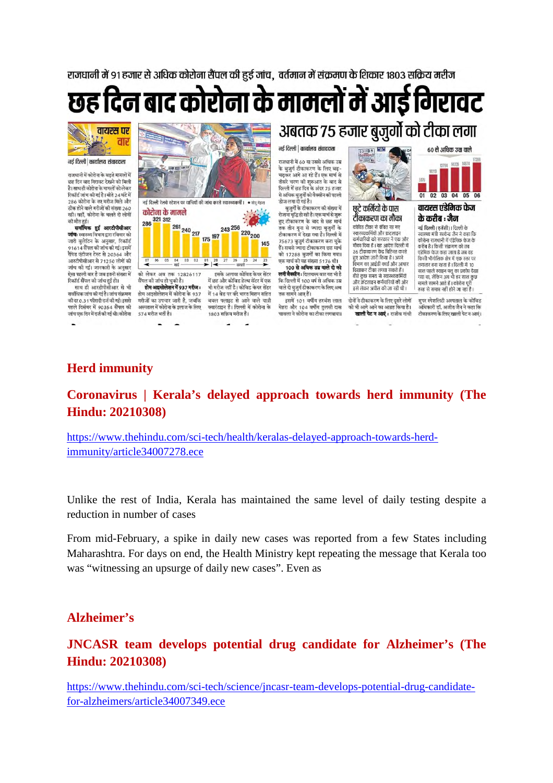राजधानी में 91 हजार से अधिक कोरोना सैंपल की हुई जांच, वर्तमान में संक्रमण के शिकार 1803 सक्रिय मरीज

# छह दिन बाद कोरोना के मामलों में आई गिरावट



#### नई दिल्ली | कार्यालय संवाददाता

राजधानी में कोरोना के बढ़ते मामलों में कह दिन बाद गिरावट देखने को मिली है। साथ ही कोरोना के मामलों को लेकर रिकॉर्ट जांच की गई है। बीते 24 घंटे में ारकाड जा व का गई है। बाग 24 घट में<br>286 कोरोना के नए मरीज मिले और .<br>टीक होने वाले मरीजों की मंग्ला 260 रही। वहीं, कोरोना के चलते दो लोगों

की मौत हुई।<br>सर्वाधिक हुई आरटीपीसीआर **जाँचः** स्वास्थ्य विभाग द्वारा रविवार को<br>जारी बुलेटिन के अनुसार, रिकॉर्ड ,<br>91614 सैंपल की जांच की गई।इसमें<br>रैपिड एंटीजन टेस्ट से 20364 और आरटीपीसीआर से 71250 लोगों की जांच की गई। जानकारी के अनसार .<br>ऐसा पहली बार है जब इतनी संख्या में .<br>रिकॉर्ड सैंपल की जांच हई हो।

साथ ही आरटीपीसीआर से भी सर्वाधिक जांच की गई है। जांच संक्रमण को दर 0.31 फीसदी दर्ज की गई। इससे पहले दिसंबर में 90354 सैंपल की -<br>जांच एक दिन में दर्ज की गई थी। कोरोना



## अबतक 75 हजार बुजुर्गो को टीका लगा नई दिल्ली | कार्यालय संवाददाता

ः<br>राजधानी में 60 या उससे अधिक उम्र के बजर्ग टीकाकरण के लिए बढ-चढ़कर आगे आ रहे हैं। एक मार्च से तीसरे चरण की शुरुआत के बाद से<br>दिल्ली में छह दिन के अंदर 75 हजार . २००० - २००० - २००० - २००० - २०००<br>से अधिक बुजुर्गों को वैक्सीन की पहली<br>डोज लगा दी गई है।

बुजुर्गों के टीकाकरण की संख्या में रोजाना वृद्धि हो रही है। एक मार्च से शुरू ाणा गुजरूरण के बाद से छह मार्च<br>हुए टोकाकरण के बाद से छह मार्च<br>तक तीन गुना से ज्यादा बुजुर्गों के<br>टीकाकरण में देखा गया है। दिल्ली में 75673 बुजुर्ग टीकाकरण करा चुके .<br>हैं। सबसे ज्यादा टीकाकरण छह मार्च<br>को 17288 बजगों का किया गया। एक मार्च को यह संख्या 5176 थी। 100 से अधिक उम्र वाले दो को लगी वैक्सीन : दिलचस्प बात यह भी है कि दिल्ली में 100 वर्ष से अधिक उम्र वाले दो बुजुर्ग टीकाकरण के लिए अब

तक सामने आप हैं। इसमें 101 वर्षीय हरबंश लाल मेहरा और 104 वर्षीय तुलसी दास चावला ने कोरोना का टीका लगवाया।



छटे कर्मियों के पास टीकाकरण का मौका कोविड टीका से वंचित रह गए<br>स्वास्थ्यकर्मियों और फ्रंटलाइन कर्मचारियों को सरकार ने एक और नगरी का सामान्य के प्राप्त है।<br>मौका दिया है | यह आदेश दिल्ली में<br>36 टीकाकरण केंद्र चिह्नित करते हुए आदेश जारी किया है । अपने<br>विभाग का आईडी कार्ड और आधार दिखाकर टीका लगवा सकते हैं। बीते कछ समय से स्वास्थ्यकर्मियों योज इट समय से स्वास्थ्यामध्ये<br>कटलाइन कर्मचारियों की ओर इसे लेकर अपील की जा रही थी।

.<br>दोनों ने टीकाकरण के लिए दूसरे लोगों को भी आगे आने का आग्रह किया है। खाली पेट न आएं : राजीव गांधी

01 02 03 04 05 06 वायरस एंडेमिक फेज

60 से अधिक उम्र वाले

के करीब : जैन -<br>नई दिल्ली (एजेंसी)। दिल्ली के

स्वास्थ्य मंत्री सत्येन्द्र जैन ने कहा कि स्वरच्च नहीं स्वयंत्र काम न कहा है।<br>कोरोना राजधानी में एंडेमिक फेज के<br>करीब है । किसी संक्रमण को तब .<br>एंडेमिक फेज कहा जाता है जब वह किसी भौगोलिक क्षेत्र में एक स्तर पर लगातार बना रहता है। दिल्ली में 10 लगातार बना रहता है । विस्ता न । ए<br>साल पहले स्वाइन फ्लू का प्रकौप देखा<br>गया था, लेकिन अब भी हर साल कुछ<br>मामले सामने आते हैं । कोरोना पूरी तरह से समाप्त नहीं होने जा रहा है।

.<br>सुपर स्पेशलिटी अस्पताल के कोविड अधिकारी डॉ. अजीत जैन ने कहा कि टीकाकरण के लिए खाली पेट न आएं।

### **Herd immunity**

### **Coronavirus | Kerala's delayed approach towards herd immunity (The Hindu: 20210308)**

https://www.thehindu.com/sci-tech/health/keralas-delayed-approach-towards-herdimmunity/article34007278.ece

Unlike the rest of India, Kerala has maintained the same level of daily testing despite a reduction in number of cases

From mid-February, a spike in daily new cases was reported from a few States including Maharashtra. For days on end, the Health Ministry kept repeating the message that Kerala too was "witnessing an upsurge of daily new cases". Even as

### **Alzheimer's**

### **JNCASR team develops potential drug candidate for Alzheimer's (The Hindu: 20210308)**

https://www.thehindu.com/sci-tech/science/jncasr-team-develops-potential-drug-candidatefor-alzheimers/article34007349.ece